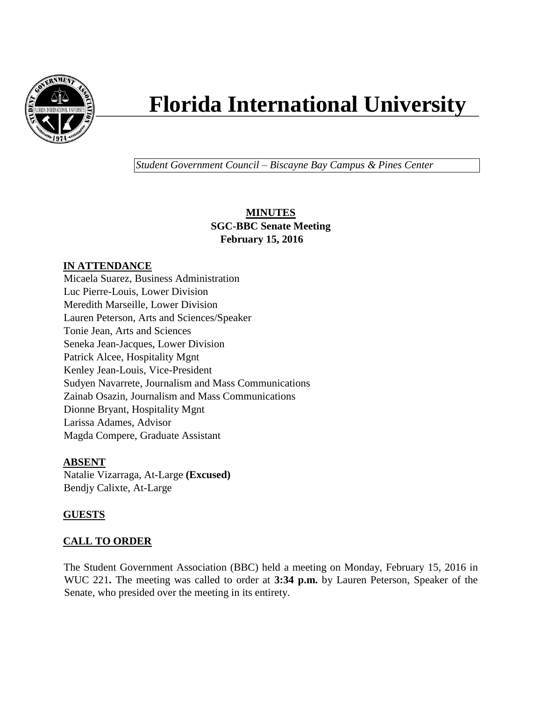

# **Florida International University**

*Student Government Council – Biscayne Bay Campus & Pines Center*

# **MINUTES SGC-BBC Senate Meeting February 15, 2016**

# **IN ATTENDANCE**

Micaela Suarez, Business Administration Luc Pierre-Louis, Lower Division Meredith Marseille, Lower Division Lauren Peterson, Arts and Sciences/Speaker Tonie Jean, Arts and Sciences Seneka Jean-Jacques, Lower Division Patrick Alcee, Hospitality Mgnt Kenley Jean-Louis, Vice-President Sudyen Navarrete, Journalism and Mass Communications Zainab Osazin, Journalism and Mass Communications Dionne Bryant, Hospitality Mgnt Larissa Adames, Advisor Magda Compere, Graduate Assistant

## **ABSENT**

Natalie Vizarraga, At-Large **(Excused)** Bendjy Calixte, At-Large

# **GUESTS**

# **CALL TO ORDER**

The Student Government Association (BBC) held a meeting on Monday, February 15, 2016 in WUC 221**.** The meeting was called to order at **3:34 p.m.** by Lauren Peterson, Speaker of the Senate, who presided over the meeting in its entirety.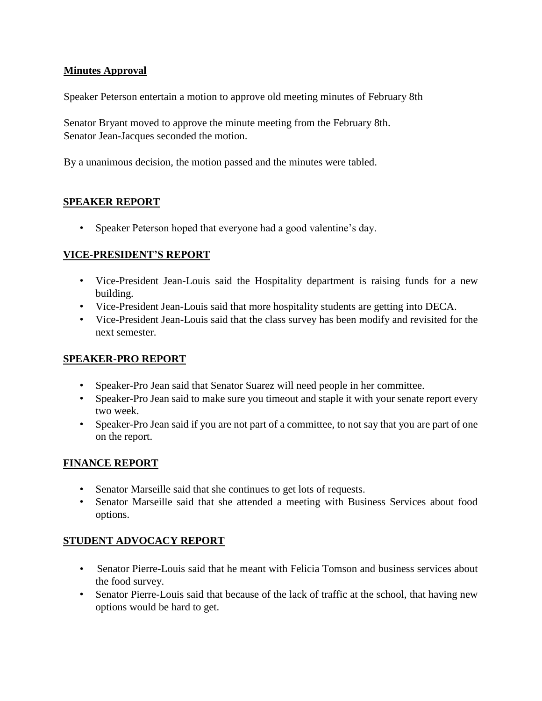# **Minutes Approval**

Speaker Peterson entertain a motion to approve old meeting minutes of February 8th

Senator Bryant moved to approve the minute meeting from the February 8th. Senator Jean-Jacques seconded the motion.

By a unanimous decision, the motion passed and the minutes were tabled.

## **SPEAKER REPORT**

• Speaker Peterson hoped that everyone had a good valentine's day.

## **VICE-PRESIDENT'S REPORT**

- Vice-President Jean-Louis said the Hospitality department is raising funds for a new building.
- Vice-President Jean-Louis said that more hospitality students are getting into DECA.
- Vice-President Jean-Louis said that the class survey has been modify and revisited for the next semester.

#### **SPEAKER-PRO REPORT**

- Speaker-Pro Jean said that Senator Suarez will need people in her committee.
- Speaker-Pro Jean said to make sure you timeout and staple it with your senate report every two week.
- Speaker-Pro Jean said if you are not part of a committee, to not say that you are part of one on the report.

## **FINANCE REPORT**

- Senator Marseille said that she continues to get lots of requests.
- Senator Marseille said that she attended a meeting with Business Services about food options.

## **STUDENT ADVOCACY REPORT**

- Senator Pierre-Louis said that he meant with Felicia Tomson and business services about the food survey.
- Senator Pierre-Louis said that because of the lack of traffic at the school, that having new options would be hard to get.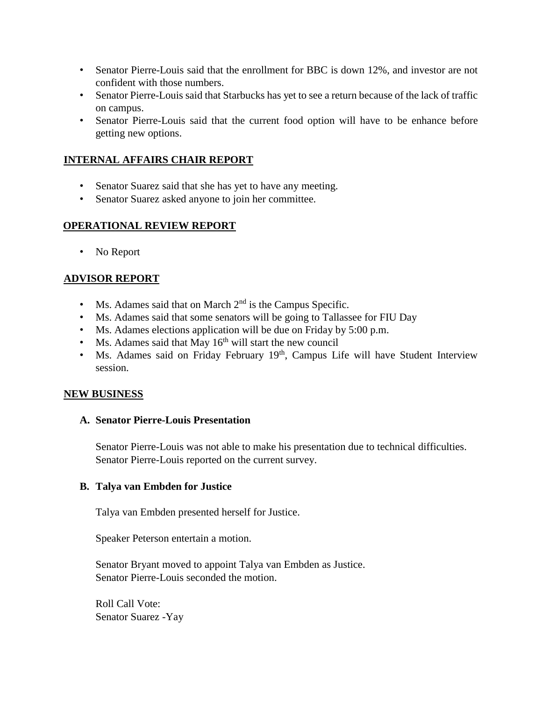- Senator Pierre-Louis said that the enrollment for BBC is down 12%, and investor are not confident with those numbers.
- Senator Pierre-Louis said that Starbucks has yet to see a return because of the lack of traffic on campus.
- Senator Pierre-Louis said that the current food option will have to be enhance before getting new options.

## **INTERNAL AFFAIRS CHAIR REPORT**

- Senator Suarez said that she has yet to have any meeting.
- Senator Suarez asked anyone to join her committee.

#### **OPERATIONAL REVIEW REPORT**

• No Report

## **ADVISOR REPORT**

- Ms. Adames said that on March  $2<sup>nd</sup>$  is the Campus Specific.
- Ms. Adames said that some senators will be going to Tallassee for FIU Day
- Ms. Adames elections application will be due on Friday by 5:00 p.m.
- Ms. Adames said that May  $16<sup>th</sup>$  will start the new council
- Ms. Adames said on Friday February 19<sup>th</sup>, Campus Life will have Student Interview session.

#### **NEW BUSINESS**

#### **A. Senator Pierre-Louis Presentation**

Senator Pierre-Louis was not able to make his presentation due to technical difficulties. Senator Pierre-Louis reported on the current survey.

#### **B. Talya van Embden for Justice**

Talya van Embden presented herself for Justice.

Speaker Peterson entertain a motion.

Senator Bryant moved to appoint Talya van Embden as Justice. Senator Pierre-Louis seconded the motion.

Roll Call Vote: Senator Suarez -Yay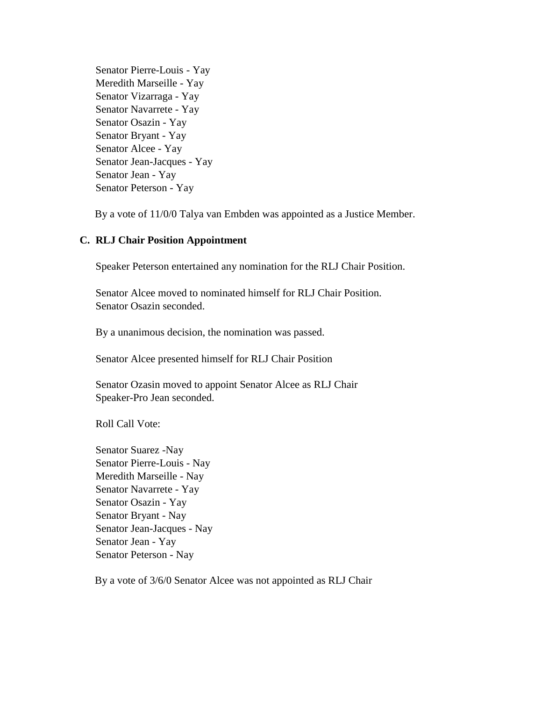Senator Pierre-Louis - Yay Meredith Marseille - Yay Senator Vizarraga - Yay Senator Navarrete - Yay Senator Osazin - Yay Senator Bryant - Yay Senator Alcee - Yay Senator Jean-Jacques - Yay Senator Jean - Yay Senator Peterson - Yay

By a vote of 11/0/0 Talya van Embden was appointed as a Justice Member.

#### **C. RLJ Chair Position Appointment**

Speaker Peterson entertained any nomination for the RLJ Chair Position.

Senator Alcee moved to nominated himself for RLJ Chair Position. Senator Osazin seconded.

By a unanimous decision, the nomination was passed.

Senator Alcee presented himself for RLJ Chair Position

Senator Ozasin moved to appoint Senator Alcee as RLJ Chair Speaker-Pro Jean seconded.

Roll Call Vote:

Senator Suarez -Nay Senator Pierre-Louis - Nay Meredith Marseille - Nay Senator Navarrete - Yay Senator Osazin - Yay Senator Bryant - Nay Senator Jean-Jacques - Nay Senator Jean - Yay Senator Peterson - Nay

By a vote of 3/6/0 Senator Alcee was not appointed as RLJ Chair